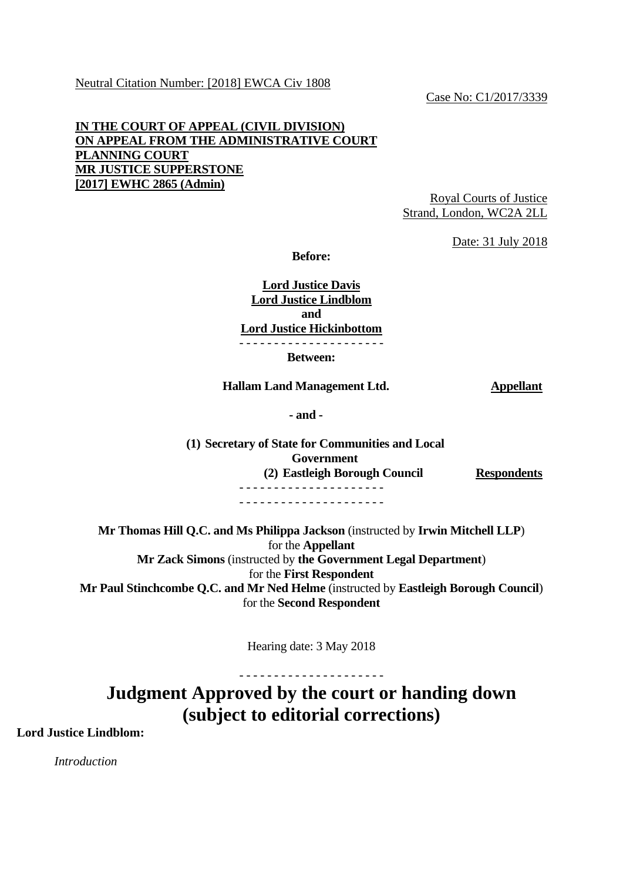Case No: C1/2017/3339

## **IN THE COURT OF APPEAL (CIVIL DIVISION) ON APPEAL FROM THE ADMINISTRATIVE COURT PLANNING COURT MR JUSTICE SUPPERSTONE [2017] EWHC 2865 (Admin)**

Royal Courts of Justice Strand, London, WC2A 2LL

Date: 31 July 2018

**Before:**

**Lord Justice Davis Lord Justice Lindblom and Lord Justice Hickinbottom** - - - - - - - - - - - - - - - - - - - - -

**Between:**

#### **Hallam Land Management Ltd. Appellant**

**- and -**

**(1) Secretary of State for Communities and Local Government (2) Eastleigh Borough Council Respondents** - - - - - - - - - - - - - - - - - - - - - - - - - - - - - - - - - - - - - - - - - -

**Mr Thomas Hill Q.C. and Ms Philippa Jackson** (instructed by **Irwin Mitchell LLP**) for the **Appellant Mr Zack Simons** (instructed by **the Government Legal Department**) for the **First Respondent Mr Paul Stinchcombe Q.C. and Mr Ned Helme** (instructed by **Eastleigh Borough Council**) for the **Second Respondent**

Hearing date: 3 May 2018

- - - - - - - - - - - - - - - - - - - - - **Judgment Approved by the court or handing down (subject to editorial corrections)**

**Lord Justice Lindblom:**

*Introduction*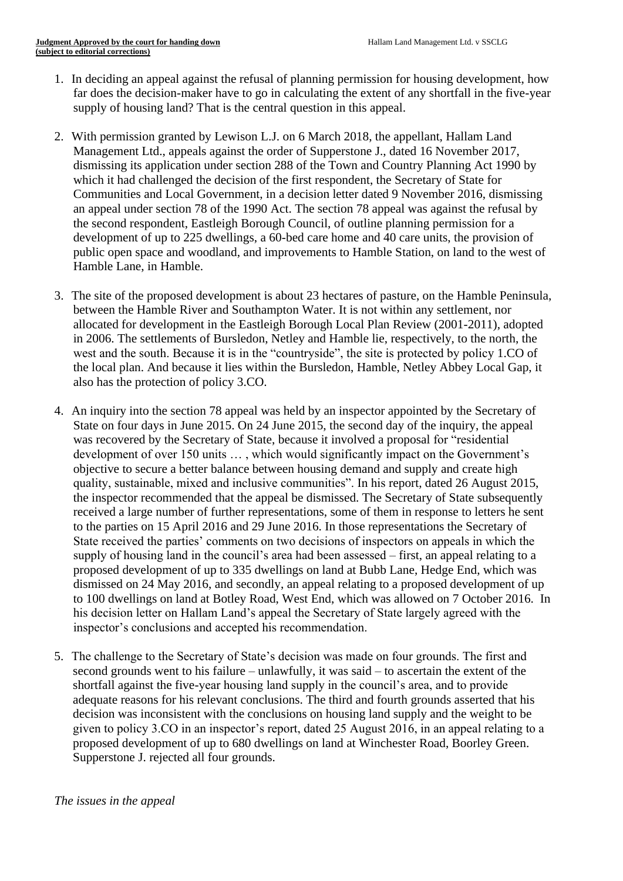- 1. In deciding an appeal against the refusal of planning permission for housing development, how far does the decision-maker have to go in calculating the extent of any shortfall in the five-year supply of housing land? That is the central question in this appeal.
- 2. With permission granted by Lewison L.J. on 6 March 2018, the appellant, Hallam Land Management Ltd., appeals against the order of Supperstone J., dated 16 November 2017, dismissing its application under section 288 of the Town and Country Planning Act 1990 by which it had challenged the decision of the first respondent, the Secretary of State for Communities and Local Government, in a decision letter dated 9 November 2016, dismissing an appeal under section 78 of the 1990 Act. The section 78 appeal was against the refusal by the second respondent, Eastleigh Borough Council, of outline planning permission for a development of up to 225 dwellings, a 60-bed care home and 40 care units, the provision of public open space and woodland, and improvements to Hamble Station, on land to the west of Hamble Lane, in Hamble.
- 3. The site of the proposed development is about 23 hectares of pasture, on the Hamble Peninsula, between the Hamble River and Southampton Water. It is not within any settlement, nor allocated for development in the Eastleigh Borough Local Plan Review (2001-2011), adopted in 2006. The settlements of Bursledon, Netley and Hamble lie, respectively, to the north, the west and the south. Because it is in the "countryside", the site is protected by policy 1.CO of the local plan. And because it lies within the Bursledon, Hamble, Netley Abbey Local Gap, it also has the protection of policy 3.CO.
- 4. An inquiry into the section 78 appeal was held by an inspector appointed by the Secretary of State on four days in June 2015. On 24 June 2015, the second day of the inquiry, the appeal was recovered by the Secretary of State, because it involved a proposal for "residential development of over 150 units … , which would significantly impact on the Government's objective to secure a better balance between housing demand and supply and create high quality, sustainable, mixed and inclusive communities". In his report, dated 26 August 2015, the inspector recommended that the appeal be dismissed. The Secretary of State subsequently received a large number of further representations, some of them in response to letters he sent to the parties on 15 April 2016 and 29 June 2016. In those representations the Secretary of State received the parties' comments on two decisions of inspectors on appeals in which the supply of housing land in the council's area had been assessed – first, an appeal relating to a proposed development of up to 335 dwellings on land at Bubb Lane, Hedge End, which was dismissed on 24 May 2016, and secondly, an appeal relating to a proposed development of up to 100 dwellings on land at Botley Road, West End, which was allowed on 7 October 2016. In his decision letter on Hallam Land's appeal the Secretary of State largely agreed with the inspector's conclusions and accepted his recommendation.
- 5. The challenge to the Secretary of State's decision was made on four grounds. The first and second grounds went to his failure – unlawfully, it was said – to ascertain the extent of the shortfall against the five-year housing land supply in the council's area, and to provide adequate reasons for his relevant conclusions. The third and fourth grounds asserted that his decision was inconsistent with the conclusions on housing land supply and the weight to be given to policy 3.CO in an inspector's report, dated 25 August 2016, in an appeal relating to a proposed development of up to 680 dwellings on land at Winchester Road, Boorley Green. Supperstone J. rejected all four grounds.

#### *The issues in the appeal*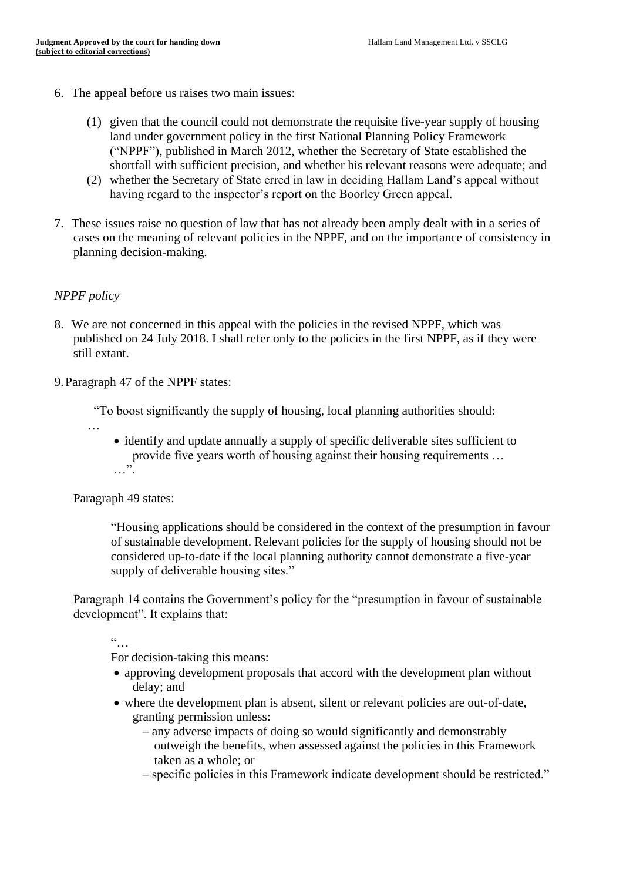- 6. The appeal before us raises two main issues:
	- (1) given that the council could not demonstrate the requisite five-year supply of housing land under government policy in the first National Planning Policy Framework ("NPPF"), published in March 2012, whether the Secretary of State established the shortfall with sufficient precision, and whether his relevant reasons were adequate; and
	- (2) whether the Secretary of State erred in law in deciding Hallam Land's appeal without having regard to the inspector's report on the Boorley Green appeal.
- 7. These issues raise no question of law that has not already been amply dealt with in a series of cases on the meaning of relevant policies in the NPPF, and on the importance of consistency in planning decision-making.

## *NPPF policy*

- 8. We are not concerned in this appeal with the policies in the revised NPPF, which was published on 24 July 2018. I shall refer only to the policies in the first NPPF, as if they were still extant.
- 9.Paragraph 47 of the NPPF states:

"To boost significantly the supply of housing, local planning authorities should:

- …
- identify and update annually a supply of specific deliverable sites sufficient to provide five years worth of housing against their housing requirements …  $\ldots$  .

Paragraph 49 states:

"Housing applications should be considered in the context of the presumption in favour of sustainable development. Relevant policies for the supply of housing should not be considered up-to-date if the local planning authority cannot demonstrate a five-year supply of deliverable housing sites."

Paragraph 14 contains the Government's policy for the "presumption in favour of sustainable development". It explains that:

"…

For decision-taking this means:

- approving development proposals that accord with the development plan without delay; and
- where the development plan is absent, silent or relevant policies are out-of-date, granting permission unless:
	- any adverse impacts of doing so would significantly and demonstrably outweigh the benefits, when assessed against the policies in this Framework taken as a whole; or
	- specific policies in this Framework indicate development should be restricted."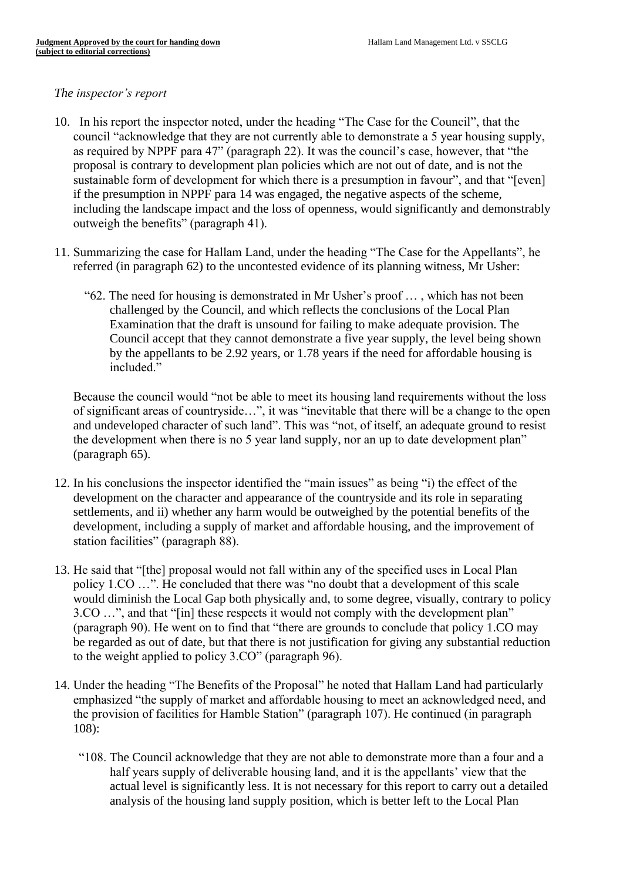#### *The inspector's report*

- 10. In his report the inspector noted, under the heading "The Case for the Council", that the council "acknowledge that they are not currently able to demonstrate a 5 year housing supply, as required by NPPF para 47" (paragraph 22). It was the council's case, however, that "the proposal is contrary to development plan policies which are not out of date, and is not the sustainable form of development for which there is a presumption in favour", and that "[even] if the presumption in NPPF para 14 was engaged, the negative aspects of the scheme, including the landscape impact and the loss of openness, would significantly and demonstrably outweigh the benefits" (paragraph 41).
- 11. Summarizing the case for Hallam Land, under the heading "The Case for the Appellants", he referred (in paragraph 62) to the uncontested evidence of its planning witness, Mr Usher:
	- "62. The need for housing is demonstrated in Mr Usher's proof … , which has not been challenged by the Council, and which reflects the conclusions of the Local Plan Examination that the draft is unsound for failing to make adequate provision. The Council accept that they cannot demonstrate a five year supply, the level being shown by the appellants to be 2.92 years, or 1.78 years if the need for affordable housing is included."

Because the council would "not be able to meet its housing land requirements without the loss of significant areas of countryside…", it was "inevitable that there will be a change to the open and undeveloped character of such land". This was "not, of itself, an adequate ground to resist the development when there is no 5 year land supply, nor an up to date development plan" (paragraph 65).

- 12. In his conclusions the inspector identified the "main issues" as being "i) the effect of the development on the character and appearance of the countryside and its role in separating settlements, and ii) whether any harm would be outweighed by the potential benefits of the development, including a supply of market and affordable housing, and the improvement of station facilities" (paragraph 88).
- 13. He said that "[the] proposal would not fall within any of the specified uses in Local Plan policy 1.CO …". He concluded that there was "no doubt that a development of this scale would diminish the Local Gap both physically and, to some degree, visually, contrary to policy 3.CO …", and that "[in] these respects it would not comply with the development plan" (paragraph 90). He went on to find that "there are grounds to conclude that policy 1.CO may be regarded as out of date, but that there is not justification for giving any substantial reduction to the weight applied to policy 3.CO" (paragraph 96).
- 14. Under the heading "The Benefits of the Proposal" he noted that Hallam Land had particularly emphasized "the supply of market and affordable housing to meet an acknowledged need, and the provision of facilities for Hamble Station" (paragraph 107). He continued (in paragraph 108):
	- "108. The Council acknowledge that they are not able to demonstrate more than a four and a half years supply of deliverable housing land, and it is the appellants' view that the actual level is significantly less. It is not necessary for this report to carry out a detailed analysis of the housing land supply position, which is better left to the Local Plan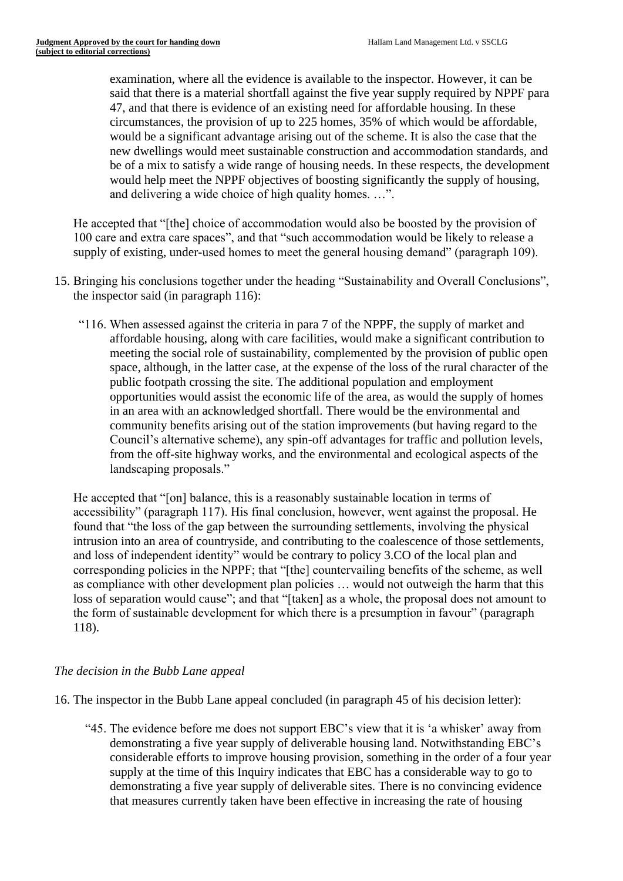examination, where all the evidence is available to the inspector. However, it can be said that there is a material shortfall against the five year supply required by NPPF para 47, and that there is evidence of an existing need for affordable housing. In these circumstances, the provision of up to 225 homes, 35% of which would be affordable, would be a significant advantage arising out of the scheme. It is also the case that the new dwellings would meet sustainable construction and accommodation standards, and be of a mix to satisfy a wide range of housing needs. In these respects, the development would help meet the NPPF objectives of boosting significantly the supply of housing, and delivering a wide choice of high quality homes. …".

He accepted that "[the] choice of accommodation would also be boosted by the provision of 100 care and extra care spaces", and that "such accommodation would be likely to release a supply of existing, under-used homes to meet the general housing demand" (paragraph 109).

- 15. Bringing his conclusions together under the heading "Sustainability and Overall Conclusions", the inspector said (in paragraph 116):
	- "116. When assessed against the criteria in para 7 of the NPPF, the supply of market and affordable housing, along with care facilities, would make a significant contribution to meeting the social role of sustainability, complemented by the provision of public open space, although, in the latter case, at the expense of the loss of the rural character of the public footpath crossing the site. The additional population and employment opportunities would assist the economic life of the area, as would the supply of homes in an area with an acknowledged shortfall. There would be the environmental and community benefits arising out of the station improvements (but having regard to the Council's alternative scheme), any spin-off advantages for traffic and pollution levels, from the off-site highway works, and the environmental and ecological aspects of the landscaping proposals."

He accepted that "[on] balance, this is a reasonably sustainable location in terms of accessibility" (paragraph 117). His final conclusion, however, went against the proposal. He found that "the loss of the gap between the surrounding settlements, involving the physical intrusion into an area of countryside, and contributing to the coalescence of those settlements, and loss of independent identity" would be contrary to policy 3.CO of the local plan and corresponding policies in the NPPF; that "[the] countervailing benefits of the scheme, as well as compliance with other development plan policies … would not outweigh the harm that this loss of separation would cause"; and that "[taken] as a whole, the proposal does not amount to the form of sustainable development for which there is a presumption in favour" (paragraph 118).

# *The decision in the Bubb Lane appeal*

16. The inspector in the Bubb Lane appeal concluded (in paragraph 45 of his decision letter):

 "45. The evidence before me does not support EBC's view that it is 'a whisker' away from demonstrating a five year supply of deliverable housing land. Notwithstanding EBC's considerable efforts to improve housing provision, something in the order of a four year supply at the time of this Inquiry indicates that EBC has a considerable way to go to demonstrating a five year supply of deliverable sites. There is no convincing evidence that measures currently taken have been effective in increasing the rate of housing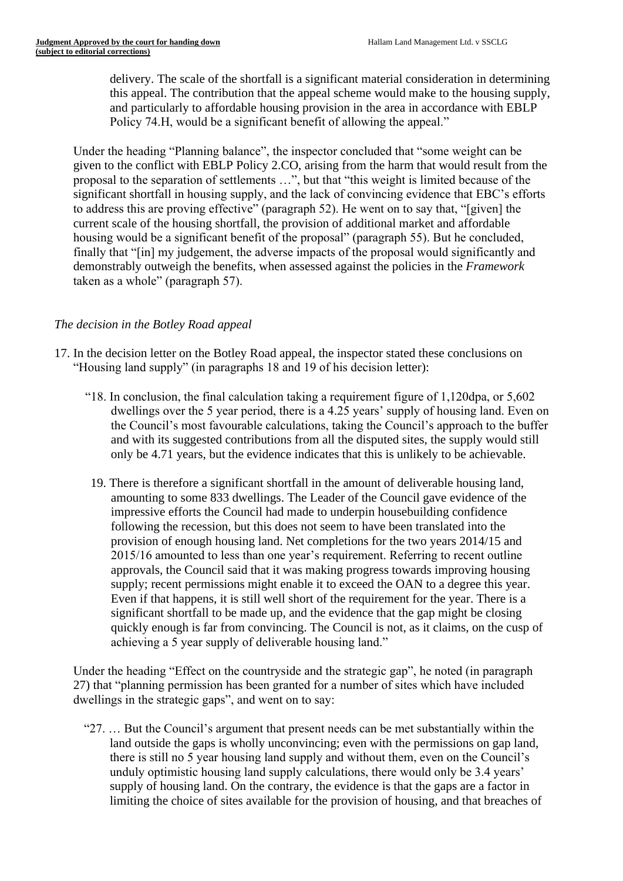delivery. The scale of the shortfall is a significant material consideration in determining this appeal. The contribution that the appeal scheme would make to the housing supply, and particularly to affordable housing provision in the area in accordance with EBLP Policy 74.H, would be a significant benefit of allowing the appeal."

Under the heading "Planning balance", the inspector concluded that "some weight can be given to the conflict with EBLP Policy 2.CO, arising from the harm that would result from the proposal to the separation of settlements …", but that "this weight is limited because of the significant shortfall in housing supply, and the lack of convincing evidence that EBC's efforts to address this are proving effective" (paragraph 52). He went on to say that, "[given] the current scale of the housing shortfall, the provision of additional market and affordable housing would be a significant benefit of the proposal" (paragraph 55). But he concluded, finally that "[in] my judgement, the adverse impacts of the proposal would significantly and demonstrably outweigh the benefits, when assessed against the policies in the *Framework* taken as a whole" (paragraph 57).

# *The decision in the Botley Road appeal*

- 17. In the decision letter on the Botley Road appeal, the inspector stated these conclusions on "Housing land supply" (in paragraphs 18 and 19 of his decision letter):
	- "18. In conclusion, the final calculation taking a requirement figure of 1,120dpa, or 5,602 dwellings over the 5 year period, there is a 4.25 years' supply of housing land. Even on the Council's most favourable calculations, taking the Council's approach to the buffer and with its suggested contributions from all the disputed sites, the supply would still only be 4.71 years, but the evidence indicates that this is unlikely to be achievable.
		- 19. There is therefore a significant shortfall in the amount of deliverable housing land, amounting to some 833 dwellings. The Leader of the Council gave evidence of the impressive efforts the Council had made to underpin housebuilding confidence following the recession, but this does not seem to have been translated into the provision of enough housing land. Net completions for the two years 2014/15 and 2015/16 amounted to less than one year's requirement. Referring to recent outline approvals, the Council said that it was making progress towards improving housing supply; recent permissions might enable it to exceed the OAN to a degree this year. Even if that happens, it is still well short of the requirement for the year. There is a significant shortfall to be made up, and the evidence that the gap might be closing quickly enough is far from convincing. The Council is not, as it claims, on the cusp of achieving a 5 year supply of deliverable housing land."

Under the heading "Effect on the countryside and the strategic gap", he noted (in paragraph 27) that "planning permission has been granted for a number of sites which have included dwellings in the strategic gaps", and went on to say:

 "27. … But the Council's argument that present needs can be met substantially within the land outside the gaps is wholly unconvincing; even with the permissions on gap land, there is still no 5 year housing land supply and without them, even on the Council's unduly optimistic housing land supply calculations, there would only be 3.4 years' supply of housing land. On the contrary, the evidence is that the gaps are a factor in limiting the choice of sites available for the provision of housing, and that breaches of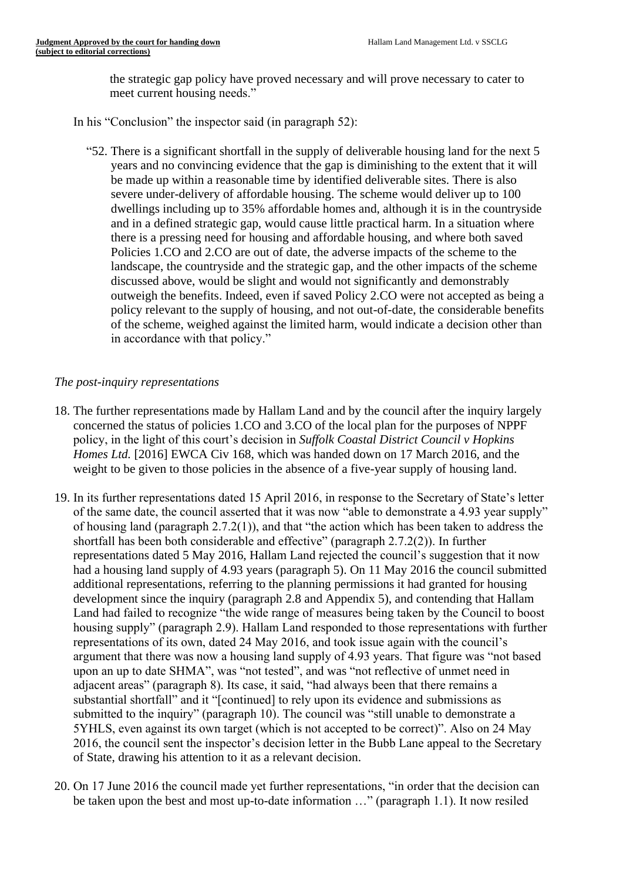the strategic gap policy have proved necessary and will prove necessary to cater to meet current housing needs."

In his "Conclusion" the inspector said (in paragraph 52):

 "52. There is a significant shortfall in the supply of deliverable housing land for the next 5 years and no convincing evidence that the gap is diminishing to the extent that it will be made up within a reasonable time by identified deliverable sites. There is also severe under-delivery of affordable housing. The scheme would deliver up to 100 dwellings including up to 35% affordable homes and, although it is in the countryside and in a defined strategic gap, would cause little practical harm. In a situation where there is a pressing need for housing and affordable housing, and where both saved Policies 1.CO and 2.CO are out of date, the adverse impacts of the scheme to the landscape, the countryside and the strategic gap, and the other impacts of the scheme discussed above, would be slight and would not significantly and demonstrably outweigh the benefits. Indeed, even if saved Policy 2.CO were not accepted as being a policy relevant to the supply of housing, and not out-of-date, the considerable benefits of the scheme, weighed against the limited harm, would indicate a decision other than in accordance with that policy."

# *The post-inquiry representations*

- 18. The further representations made by Hallam Land and by the council after the inquiry largely concerned the status of policies 1.CO and 3.CO of the local plan for the purposes of NPPF policy, in the light of this court's decision in *Suffolk Coastal District Council v Hopkins Homes Ltd.* [2016] EWCA Civ 168, which was handed down on 17 March 2016, and the weight to be given to those policies in the absence of a five-year supply of housing land.
- 19. In its further representations dated 15 April 2016, in response to the Secretary of State's letter of the same date, the council asserted that it was now "able to demonstrate a 4.93 year supply" of housing land (paragraph 2.7.2(1)), and that "the action which has been taken to address the shortfall has been both considerable and effective" (paragraph 2.7.2(2)). In further representations dated 5 May 2016, Hallam Land rejected the council's suggestion that it now had a housing land supply of 4.93 years (paragraph 5). On 11 May 2016 the council submitted additional representations, referring to the planning permissions it had granted for housing development since the inquiry (paragraph 2.8 and Appendix 5), and contending that Hallam Land had failed to recognize "the wide range of measures being taken by the Council to boost housing supply" (paragraph 2.9). Hallam Land responded to those representations with further representations of its own, dated 24 May 2016, and took issue again with the council's argument that there was now a housing land supply of 4.93 years. That figure was "not based upon an up to date SHMA", was "not tested", and was "not reflective of unmet need in adjacent areas" (paragraph 8). Its case, it said, "had always been that there remains a substantial shortfall" and it "[continued] to rely upon its evidence and submissions as submitted to the inquiry" (paragraph 10). The council was "still unable to demonstrate a 5YHLS, even against its own target (which is not accepted to be correct)". Also on 24 May 2016, the council sent the inspector's decision letter in the Bubb Lane appeal to the Secretary of State, drawing his attention to it as a relevant decision.
- 20. On 17 June 2016 the council made yet further representations, "in order that the decision can be taken upon the best and most up-to-date information …" (paragraph 1.1). It now resiled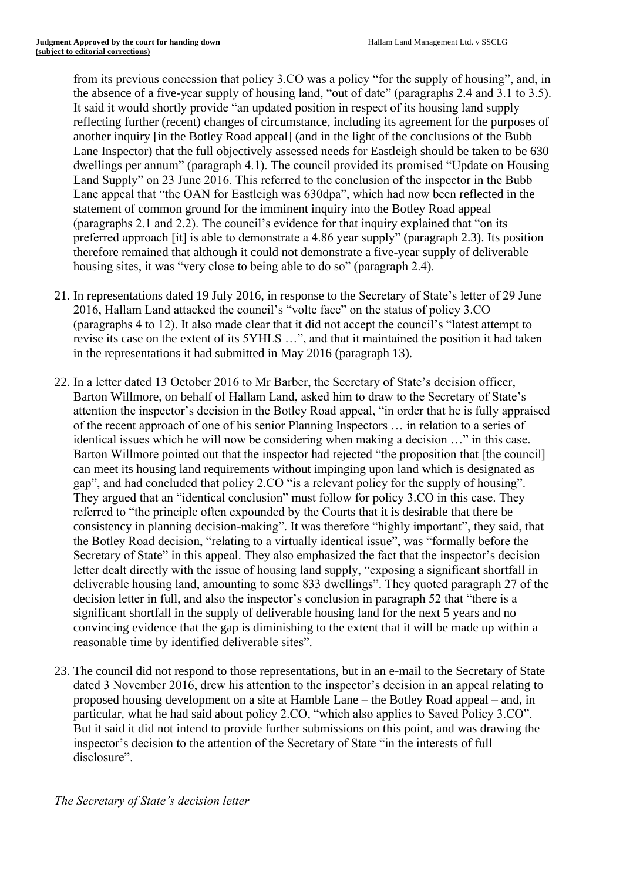from its previous concession that policy 3.CO was a policy "for the supply of housing", and, in the absence of a five-year supply of housing land, "out of date" (paragraphs 2.4 and 3.1 to 3.5). It said it would shortly provide "an updated position in respect of its housing land supply reflecting further (recent) changes of circumstance, including its agreement for the purposes of another inquiry [in the Botley Road appeal] (and in the light of the conclusions of the Bubb Lane Inspector) that the full objectively assessed needs for Eastleigh should be taken to be 630 dwellings per annum" (paragraph 4.1). The council provided its promised "Update on Housing Land Supply" on 23 June 2016. This referred to the conclusion of the inspector in the Bubb Lane appeal that "the OAN for Eastleigh was 630dpa", which had now been reflected in the statement of common ground for the imminent inquiry into the Botley Road appeal (paragraphs 2.1 and 2.2). The council's evidence for that inquiry explained that "on its preferred approach [it] is able to demonstrate a 4.86 year supply" (paragraph 2.3). Its position therefore remained that although it could not demonstrate a five-year supply of deliverable housing sites, it was "very close to being able to do so" (paragraph 2.4).

- 21. In representations dated 19 July 2016, in response to the Secretary of State's letter of 29 June 2016, Hallam Land attacked the council's "volte face" on the status of policy 3.CO (paragraphs 4 to 12). It also made clear that it did not accept the council's "latest attempt to revise its case on the extent of its 5YHLS …", and that it maintained the position it had taken in the representations it had submitted in May 2016 (paragraph 13).
- 22. In a letter dated 13 October 2016 to Mr Barber, the Secretary of State's decision officer, Barton Willmore, on behalf of Hallam Land, asked him to draw to the Secretary of State's attention the inspector's decision in the Botley Road appeal, "in order that he is fully appraised of the recent approach of one of his senior Planning Inspectors … in relation to a series of identical issues which he will now be considering when making a decision …" in this case. Barton Willmore pointed out that the inspector had rejected "the proposition that [the council] can meet its housing land requirements without impinging upon land which is designated as gap", and had concluded that policy 2.CO "is a relevant policy for the supply of housing". They argued that an "identical conclusion" must follow for policy 3.CO in this case. They referred to "the principle often expounded by the Courts that it is desirable that there be consistency in planning decision-making". It was therefore "highly important", they said, that the Botley Road decision, "relating to a virtually identical issue", was "formally before the Secretary of State" in this appeal. They also emphasized the fact that the inspector's decision letter dealt directly with the issue of housing land supply, "exposing a significant shortfall in deliverable housing land, amounting to some 833 dwellings". They quoted paragraph 27 of the decision letter in full, and also the inspector's conclusion in paragraph 52 that "there is a significant shortfall in the supply of deliverable housing land for the next 5 years and no convincing evidence that the gap is diminishing to the extent that it will be made up within a reasonable time by identified deliverable sites".
- 23. The council did not respond to those representations, but in an e-mail to the Secretary of State dated 3 November 2016, drew his attention to the inspector's decision in an appeal relating to proposed housing development on a site at Hamble Lane – the Botley Road appeal – and, in particular, what he had said about policy 2.CO, "which also applies to Saved Policy 3.CO". But it said it did not intend to provide further submissions on this point, and was drawing the inspector's decision to the attention of the Secretary of State "in the interests of full disclosure".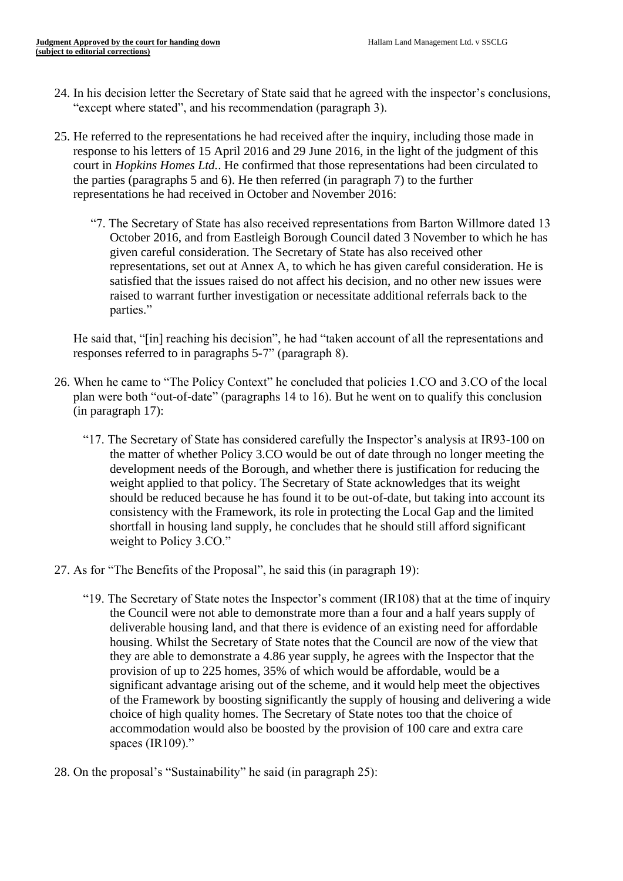- 24. In his decision letter the Secretary of State said that he agreed with the inspector's conclusions, "except where stated", and his recommendation (paragraph 3).
- 25. He referred to the representations he had received after the inquiry, including those made in response to his letters of 15 April 2016 and 29 June 2016, in the light of the judgment of this court in *Hopkins Homes Ltd.*. He confirmed that those representations had been circulated to the parties (paragraphs 5 and 6). He then referred (in paragraph 7) to the further representations he had received in October and November 2016:
	- "7. The Secretary of State has also received representations from Barton Willmore dated 13 October 2016, and from Eastleigh Borough Council dated 3 November to which he has given careful consideration. The Secretary of State has also received other representations, set out at Annex A, to which he has given careful consideration. He is satisfied that the issues raised do not affect his decision, and no other new issues were raised to warrant further investigation or necessitate additional referrals back to the parties."

He said that, "[in] reaching his decision", he had "taken account of all the representations and responses referred to in paragraphs 5-7" (paragraph 8).

- 26. When he came to "The Policy Context" he concluded that policies 1.CO and 3.CO of the local plan were both "out-of-date" (paragraphs 14 to 16). But he went on to qualify this conclusion (in paragraph 17):
	- "17. The Secretary of State has considered carefully the Inspector's analysis at IR93-100 on the matter of whether Policy 3.CO would be out of date through no longer meeting the development needs of the Borough, and whether there is justification for reducing the weight applied to that policy. The Secretary of State acknowledges that its weight should be reduced because he has found it to be out-of-date, but taking into account its consistency with the Framework, its role in protecting the Local Gap and the limited shortfall in housing land supply, he concludes that he should still afford significant weight to Policy 3.CO."
- 27. As for "The Benefits of the Proposal", he said this (in paragraph 19):
	- "19. The Secretary of State notes the Inspector's comment  $(IR108)$  that at the time of inquiry the Council were not able to demonstrate more than a four and a half years supply of deliverable housing land, and that there is evidence of an existing need for affordable housing. Whilst the Secretary of State notes that the Council are now of the view that they are able to demonstrate a 4.86 year supply, he agrees with the Inspector that the provision of up to 225 homes, 35% of which would be affordable, would be a significant advantage arising out of the scheme, and it would help meet the objectives of the Framework by boosting significantly the supply of housing and delivering a wide choice of high quality homes. The Secretary of State notes too that the choice of accommodation would also be boosted by the provision of 100 care and extra care spaces (IR109)."
- 28. On the proposal's "Sustainability" he said (in paragraph 25):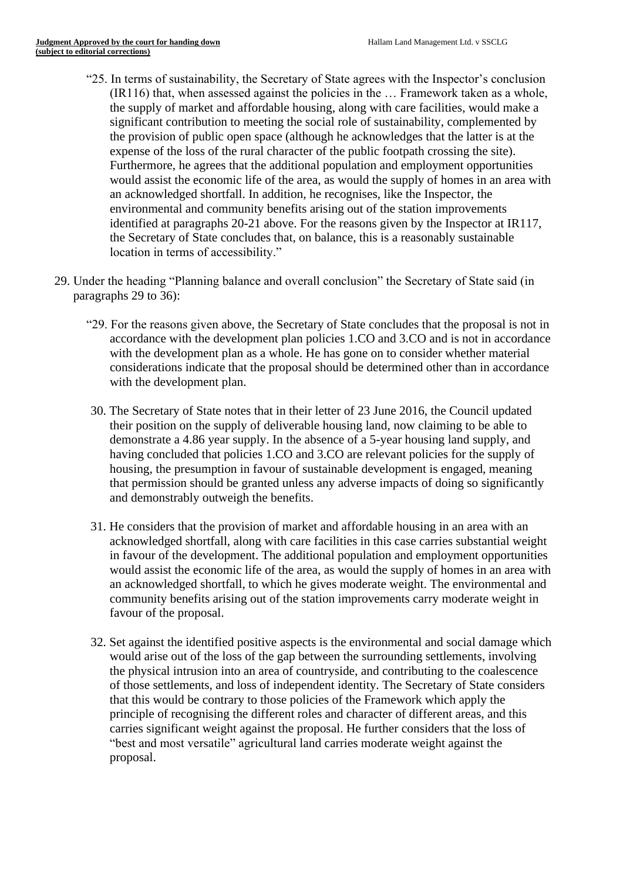- "25. In terms of sustainability, the Secretary of State agrees with the Inspector's conclusion (IR116) that, when assessed against the policies in the … Framework taken as a whole, the supply of market and affordable housing, along with care facilities, would make a significant contribution to meeting the social role of sustainability, complemented by the provision of public open space (although he acknowledges that the latter is at the expense of the loss of the rural character of the public footpath crossing the site). Furthermore, he agrees that the additional population and employment opportunities would assist the economic life of the area, as would the supply of homes in an area with an acknowledged shortfall. In addition, he recognises, like the Inspector, the environmental and community benefits arising out of the station improvements identified at paragraphs 20-21 above. For the reasons given by the Inspector at IR117, the Secretary of State concludes that, on balance, this is a reasonably sustainable location in terms of accessibility."
- 29. Under the heading "Planning balance and overall conclusion" the Secretary of State said (in paragraphs 29 to 36):
	- "29. For the reasons given above, the Secretary of State concludes that the proposal is not in accordance with the development plan policies 1.CO and 3.CO and is not in accordance with the development plan as a whole. He has gone on to consider whether material considerations indicate that the proposal should be determined other than in accordance with the development plan.
	- 30. The Secretary of State notes that in their letter of 23 June 2016, the Council updated their position on the supply of deliverable housing land, now claiming to be able to demonstrate a 4.86 year supply. In the absence of a 5-year housing land supply, and having concluded that policies 1.CO and 3.CO are relevant policies for the supply of housing, the presumption in favour of sustainable development is engaged, meaning that permission should be granted unless any adverse impacts of doing so significantly and demonstrably outweigh the benefits.
	- 31. He considers that the provision of market and affordable housing in an area with an acknowledged shortfall, along with care facilities in this case carries substantial weight in favour of the development. The additional population and employment opportunities would assist the economic life of the area, as would the supply of homes in an area with an acknowledged shortfall, to which he gives moderate weight. The environmental and community benefits arising out of the station improvements carry moderate weight in favour of the proposal.
	- 32. Set against the identified positive aspects is the environmental and social damage which would arise out of the loss of the gap between the surrounding settlements, involving the physical intrusion into an area of countryside, and contributing to the coalescence of those settlements, and loss of independent identity. The Secretary of State considers that this would be contrary to those policies of the Framework which apply the principle of recognising the different roles and character of different areas, and this carries significant weight against the proposal. He further considers that the loss of "best and most versatile" agricultural land carries moderate weight against the proposal.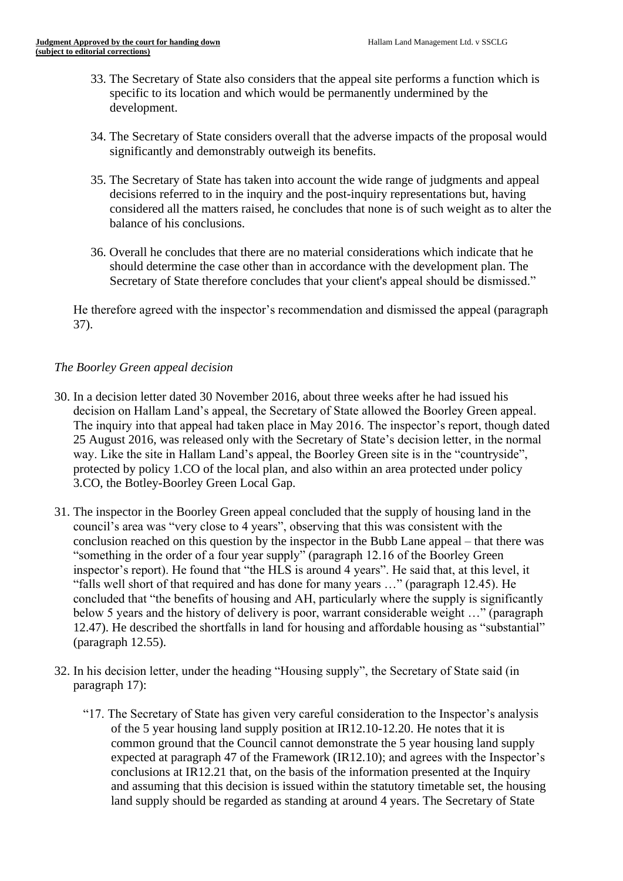- 33. The Secretary of State also considers that the appeal site performs a function which is specific to its location and which would be permanently undermined by the development.
- 34. The Secretary of State considers overall that the adverse impacts of the proposal would significantly and demonstrably outweigh its benefits.
- 35. The Secretary of State has taken into account the wide range of judgments and appeal decisions referred to in the inquiry and the post-inquiry representations but, having considered all the matters raised, he concludes that none is of such weight as to alter the balance of his conclusions.
- 36. Overall he concludes that there are no material considerations which indicate that he should determine the case other than in accordance with the development plan. The Secretary of State therefore concludes that your client's appeal should be dismissed."

He therefore agreed with the inspector's recommendation and dismissed the appeal (paragraph 37).

# *The Boorley Green appeal decision*

- 30. In a decision letter dated 30 November 2016, about three weeks after he had issued his decision on Hallam Land's appeal, the Secretary of State allowed the Boorley Green appeal. The inquiry into that appeal had taken place in May 2016. The inspector's report, though dated 25 August 2016, was released only with the Secretary of State's decision letter, in the normal way. Like the site in Hallam Land's appeal, the Boorley Green site is in the "countryside", protected by policy 1.CO of the local plan, and also within an area protected under policy 3.CO, the Botley-Boorley Green Local Gap.
- 31. The inspector in the Boorley Green appeal concluded that the supply of housing land in the council's area was "very close to 4 years", observing that this was consistent with the conclusion reached on this question by the inspector in the Bubb Lane appeal – that there was "something in the order of a four year supply" (paragraph 12.16 of the Boorley Green inspector's report). He found that "the HLS is around 4 years". He said that, at this level, it "falls well short of that required and has done for many years …" (paragraph 12.45). He concluded that "the benefits of housing and AH, particularly where the supply is significantly below 5 years and the history of delivery is poor, warrant considerable weight …" (paragraph 12.47). He described the shortfalls in land for housing and affordable housing as "substantial" (paragraph 12.55).
- 32. In his decision letter, under the heading "Housing supply", the Secretary of State said (in paragraph 17):
	- "17. The Secretary of State has given very careful consideration to the Inspector's analysis of the 5 year housing land supply position at IR12.10-12.20. He notes that it is common ground that the Council cannot demonstrate the 5 year housing land supply expected at paragraph 47 of the Framework (IR12.10); and agrees with the Inspector's conclusions at IR12.21 that, on the basis of the information presented at the Inquiry and assuming that this decision is issued within the statutory timetable set, the housing land supply should be regarded as standing at around 4 years. The Secretary of State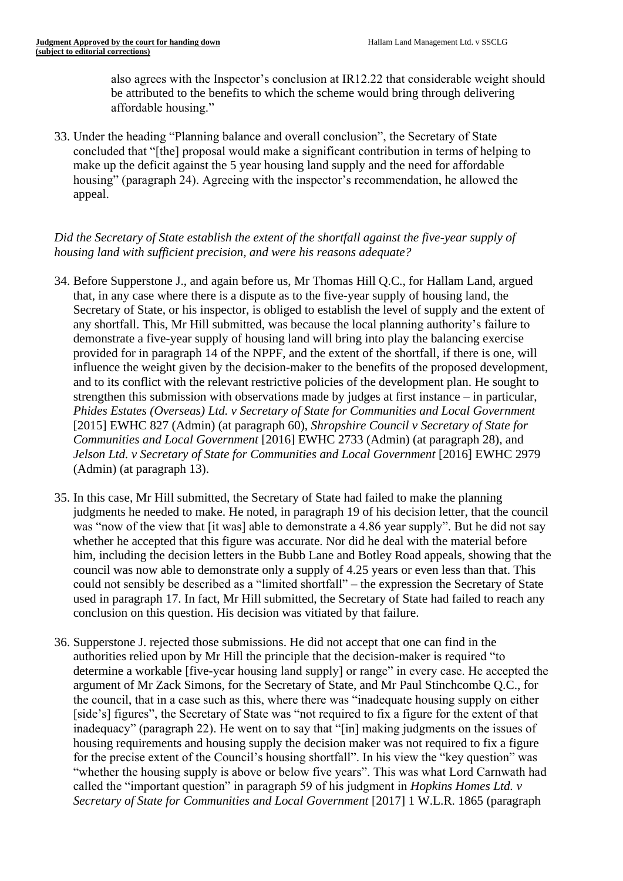also agrees with the Inspector's conclusion at IR12.22 that considerable weight should be attributed to the benefits to which the scheme would bring through delivering affordable housing."

33. Under the heading "Planning balance and overall conclusion", the Secretary of State concluded that "[the] proposal would make a significant contribution in terms of helping to make up the deficit against the 5 year housing land supply and the need for affordable housing" (paragraph 24). Agreeing with the inspector's recommendation, he allowed the appeal.

# *Did the Secretary of State establish the extent of the shortfall against the five-year supply of housing land with sufficient precision, and were his reasons adequate?*

- 34. Before Supperstone J., and again before us, Mr Thomas Hill Q.C., for Hallam Land, argued that, in any case where there is a dispute as to the five-year supply of housing land, the Secretary of State, or his inspector, is obliged to establish the level of supply and the extent of any shortfall. This, Mr Hill submitted, was because the local planning authority's failure to demonstrate a five-year supply of housing land will bring into play the balancing exercise provided for in paragraph 14 of the NPPF, and the extent of the shortfall, if there is one, will influence the weight given by the decision-maker to the benefits of the proposed development, and to its conflict with the relevant restrictive policies of the development plan. He sought to strengthen this submission with observations made by judges at first instance – in particular, *Phides Estates (Overseas) Ltd. v Secretary of State for Communities and Local Government* [2015] EWHC 827 (Admin) (at paragraph 60), *Shropshire Council v Secretary of State for Communities and Local Government* [2016] EWHC 2733 (Admin) (at paragraph 28), and *Jelson Ltd. v Secretary of State for Communities and Local Government* [2016] EWHC 2979 (Admin) (at paragraph 13).
- 35. In this case, Mr Hill submitted, the Secretary of State had failed to make the planning judgments he needed to make. He noted, in paragraph 19 of his decision letter, that the council was "now of the view that [it was] able to demonstrate a 4.86 year supply". But he did not say whether he accepted that this figure was accurate. Nor did he deal with the material before him, including the decision letters in the Bubb Lane and Botley Road appeals, showing that the council was now able to demonstrate only a supply of 4.25 years or even less than that. This could not sensibly be described as a "limited shortfall" – the expression the Secretary of State used in paragraph 17. In fact, Mr Hill submitted, the Secretary of State had failed to reach any conclusion on this question. His decision was vitiated by that failure.
- 36. Supperstone J. rejected those submissions. He did not accept that one can find in the authorities relied upon by Mr Hill the principle that the decision-maker is required "to determine a workable [five-year housing land supply] or range" in every case. He accepted the argument of Mr Zack Simons, for the Secretary of State, and Mr Paul Stinchcombe Q.C., for the council, that in a case such as this, where there was "inadequate housing supply on either [side's] figures", the Secretary of State was "not required to fix a figure for the extent of that inadequacy" (paragraph 22). He went on to say that "[in] making judgments on the issues of housing requirements and housing supply the decision maker was not required to fix a figure for the precise extent of the Council's housing shortfall". In his view the "key question" was "whether the housing supply is above or below five years". This was what Lord Carnwath had called the "important question" in paragraph 59 of his judgment in *Hopkins Homes Ltd. v Secretary of State for Communities and Local Government* [2017] 1 W.L.R. 1865 (paragraph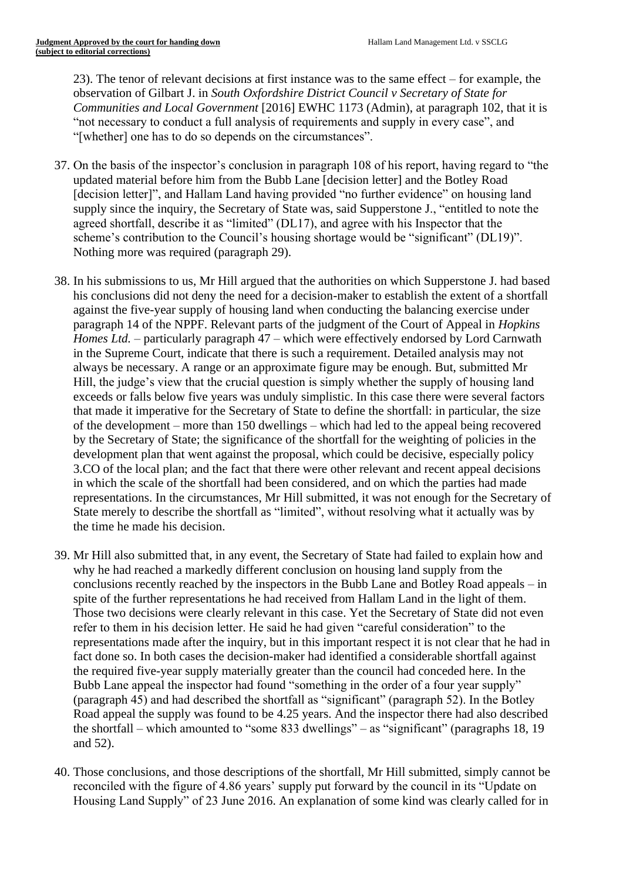23). The tenor of relevant decisions at first instance was to the same effect – for example, the observation of Gilbart J. in *South Oxfordshire District Council v Secretary of State for Communities and Local Government* [2016] EWHC 1173 (Admin), at paragraph 102, that it is "not necessary to conduct a full analysis of requirements and supply in every case", and "[whether] one has to do so depends on the circumstances".

- 37. On the basis of the inspector's conclusion in paragraph 108 of his report, having regard to "the updated material before him from the Bubb Lane [decision letter] and the Botley Road [decision letter]", and Hallam Land having provided "no further evidence" on housing land supply since the inquiry, the Secretary of State was, said Supperstone J., "entitled to note the agreed shortfall, describe it as "limited" (DL17), and agree with his Inspector that the scheme's contribution to the Council's housing shortage would be "significant" (DL19)". Nothing more was required (paragraph 29).
- 38. In his submissions to us, Mr Hill argued that the authorities on which Supperstone J. had based his conclusions did not deny the need for a decision-maker to establish the extent of a shortfall against the five-year supply of housing land when conducting the balancing exercise under paragraph 14 of the NPPF. Relevant parts of the judgment of the Court of Appeal in *Hopkins Homes Ltd.* – particularly paragraph 47 – which were effectively endorsed by Lord Carnwath in the Supreme Court, indicate that there is such a requirement. Detailed analysis may not always be necessary. A range or an approximate figure may be enough. But, submitted Mr Hill, the judge's view that the crucial question is simply whether the supply of housing land exceeds or falls below five years was unduly simplistic. In this case there were several factors that made it imperative for the Secretary of State to define the shortfall: in particular, the size of the development – more than 150 dwellings – which had led to the appeal being recovered by the Secretary of State; the significance of the shortfall for the weighting of policies in the development plan that went against the proposal, which could be decisive, especially policy 3.CO of the local plan; and the fact that there were other relevant and recent appeal decisions in which the scale of the shortfall had been considered, and on which the parties had made representations. In the circumstances, Mr Hill submitted, it was not enough for the Secretary of State merely to describe the shortfall as "limited", without resolving what it actually was by the time he made his decision.
- 39. Mr Hill also submitted that, in any event, the Secretary of State had failed to explain how and why he had reached a markedly different conclusion on housing land supply from the conclusions recently reached by the inspectors in the Bubb Lane and Botley Road appeals – in spite of the further representations he had received from Hallam Land in the light of them. Those two decisions were clearly relevant in this case. Yet the Secretary of State did not even refer to them in his decision letter. He said he had given "careful consideration" to the representations made after the inquiry, but in this important respect it is not clear that he had in fact done so. In both cases the decision-maker had identified a considerable shortfall against the required five-year supply materially greater than the council had conceded here. In the Bubb Lane appeal the inspector had found "something in the order of a four year supply" (paragraph 45) and had described the shortfall as "significant" (paragraph 52). In the Botley Road appeal the supply was found to be 4.25 years. And the inspector there had also described the shortfall – which amounted to "some 833 dwellings" – as "significant" (paragraphs 18, 19 and 52).
- 40. Those conclusions, and those descriptions of the shortfall, Mr Hill submitted, simply cannot be reconciled with the figure of 4.86 years' supply put forward by the council in its "Update on Housing Land Supply" of 23 June 2016. An explanation of some kind was clearly called for in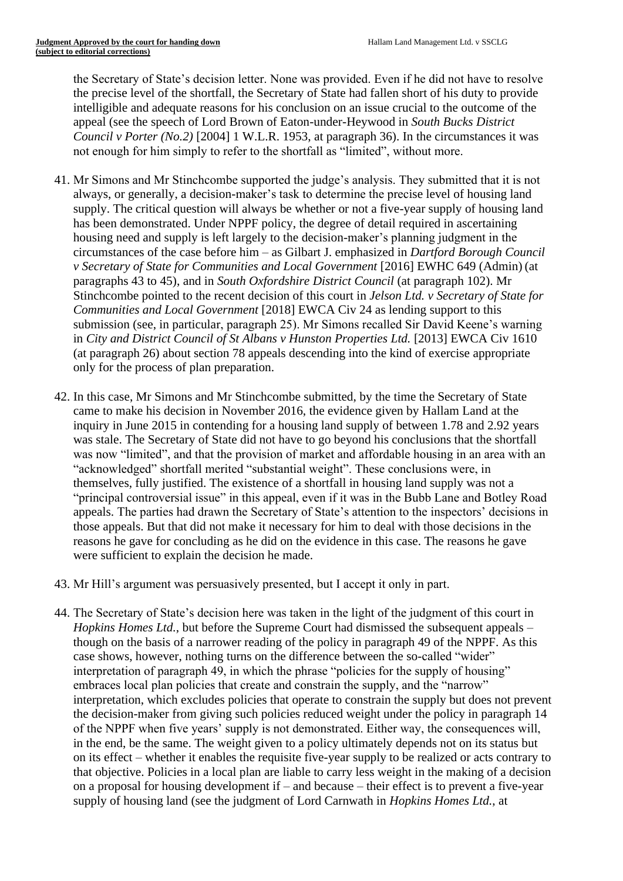the Secretary of State's decision letter. None was provided. Even if he did not have to resolve the precise level of the shortfall, the Secretary of State had fallen short of his duty to provide intelligible and adequate reasons for his conclusion on an issue crucial to the outcome of the appeal (see the speech of Lord Brown of Eaton-under-Heywood in *South Bucks District Council v Porter (No.2)* [2004] 1 W.L.R. 1953, at paragraph 36). In the circumstances it was not enough for him simply to refer to the shortfall as "limited", without more.

- 41. Mr Simons and Mr Stinchcombe supported the judge's analysis. They submitted that it is not always, or generally, a decision-maker's task to determine the precise level of housing land supply. The critical question will always be whether or not a five-year supply of housing land has been demonstrated. Under NPPF policy, the degree of detail required in ascertaining housing need and supply is left largely to the decision-maker's planning judgment in the circumstances of the case before him – as Gilbart J. emphasized in *Dartford Borough Council v Secretary of State for Communities and Local Government* [2016] EWHC 649 (Admin) (at paragraphs 43 to 45), and in *South Oxfordshire District Council* (at paragraph 102). Mr Stinchcombe pointed to the recent decision of this court in *Jelson Ltd. v Secretary of State for Communities and Local Government* [2018] EWCA Civ 24 as lending support to this submission (see, in particular, paragraph 25). Mr Simons recalled Sir David Keene's warning in *City and District Council of St Albans v Hunston Properties Ltd.* [2013] EWCA Civ 1610 (at paragraph 26) about section 78 appeals descending into the kind of exercise appropriate only for the process of plan preparation.
- 42. In this case, Mr Simons and Mr Stinchcombe submitted, by the time the Secretary of State came to make his decision in November 2016, the evidence given by Hallam Land at the inquiry in June 2015 in contending for a housing land supply of between 1.78 and 2.92 years was stale. The Secretary of State did not have to go beyond his conclusions that the shortfall was now "limited", and that the provision of market and affordable housing in an area with an "acknowledged" shortfall merited "substantial weight". These conclusions were, in themselves, fully justified. The existence of a shortfall in housing land supply was not a "principal controversial issue" in this appeal, even if it was in the Bubb Lane and Botley Road appeals. The parties had drawn the Secretary of State's attention to the inspectors' decisions in those appeals. But that did not make it necessary for him to deal with those decisions in the reasons he gave for concluding as he did on the evidence in this case. The reasons he gave were sufficient to explain the decision he made.
- 43. Mr Hill's argument was persuasively presented, but I accept it only in part.
- 44. The Secretary of State's decision here was taken in the light of the judgment of this court in *Hopkins Homes Ltd.*, but before the Supreme Court had dismissed the subsequent appeals – though on the basis of a narrower reading of the policy in paragraph 49 of the NPPF. As this case shows, however, nothing turns on the difference between the so-called "wider" interpretation of paragraph 49, in which the phrase "policies for the supply of housing" embraces local plan policies that create and constrain the supply, and the "narrow" interpretation, which excludes policies that operate to constrain the supply but does not prevent the decision-maker from giving such policies reduced weight under the policy in paragraph 14 of the NPPF when five years' supply is not demonstrated. Either way, the consequences will, in the end, be the same. The weight given to a policy ultimately depends not on its status but on its effect – whether it enables the requisite five-year supply to be realized or acts contrary to that objective. Policies in a local plan are liable to carry less weight in the making of a decision on a proposal for housing development if – and because – their effect is to prevent a five-year supply of housing land (see the judgment of Lord Carnwath in *Hopkins Homes Ltd.*, at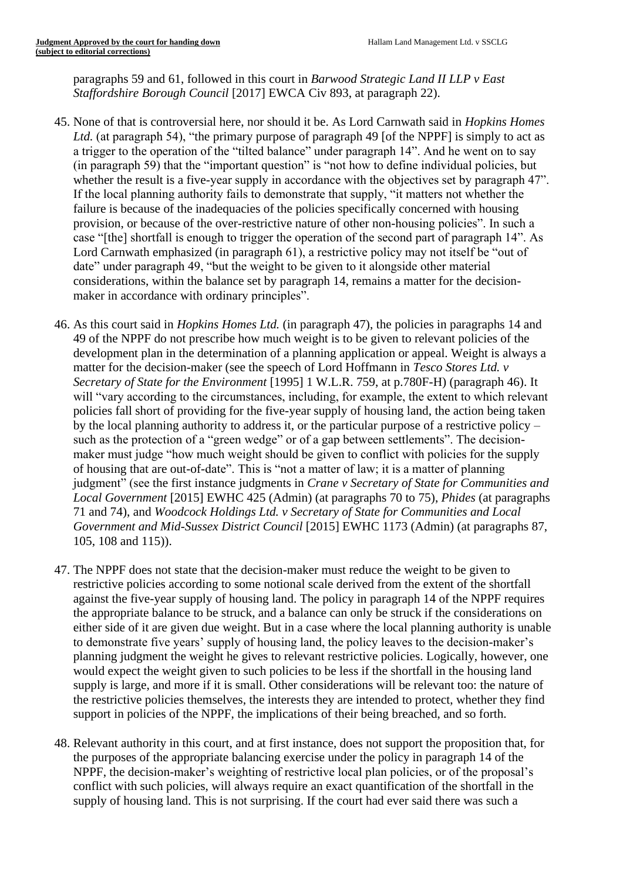paragraphs 59 and 61, followed in this court in *Barwood Strategic Land II LLP v East Staffordshire Borough Council* [2017] EWCA Civ 893, at paragraph 22).

- 45. None of that is controversial here, nor should it be. As Lord Carnwath said in *Hopkins Homes*  Ltd. (at paragraph 54), "the primary purpose of paragraph 49 [of the NPPF] is simply to act as a trigger to the operation of the "tilted balance" under paragraph 14". And he went on to say (in paragraph 59) that the "important question" is "not how to define individual policies, but whether the result is a five-year supply in accordance with the objectives set by paragraph 47". If the local planning authority fails to demonstrate that supply, "it matters not whether the failure is because of the inadequacies of the policies specifically concerned with housing provision, or because of the over-restrictive nature of other non-housing policies". In such a case "[the] shortfall is enough to trigger the operation of the second part of paragraph 14". As Lord Carnwath emphasized (in paragraph 61), a restrictive policy may not itself be "out of date" under paragraph 49, "but the weight to be given to it alongside other material considerations, within the balance set by paragraph 14, remains a matter for the decisionmaker in accordance with ordinary principles".
- 46. As this court said in *Hopkins Homes Ltd.* (in paragraph 47), the policies in paragraphs 14 and 49 of the NPPF do not prescribe how much weight is to be given to relevant policies of the development plan in the determination of a planning application or appeal. Weight is always a matter for the decision-maker (see the speech of Lord Hoffmann in *Tesco Stores Ltd. v Secretary of State for the Environment* [1995] 1 W.L.R. 759, at p.780F-H) (paragraph 46). It will "vary according to the circumstances, including, for example, the extent to which relevant policies fall short of providing for the five-year supply of housing land, the action being taken by the local planning authority to address it, or the particular purpose of a restrictive policy – such as the protection of a "green wedge" or of a gap between settlements". The decisionmaker must judge "how much weight should be given to conflict with policies for the supply of housing that are out-of-date". This is "not a matter of law; it is a matter of planning judgment" (see the first instance judgments in *Crane v Secretary of State for Communities and Local Government* [2015] EWHC 425 (Admin) (at paragraphs 70 to 75), *Phides* (at paragraphs 71 and 74), and *Woodcock Holdings Ltd. v Secretary of State for Communities and Local Government and Mid-Sussex District Council* [2015] EWHC 1173 (Admin) (at paragraphs 87, 105, 108 and 115)).
- 47. The NPPF does not state that the decision-maker must reduce the weight to be given to restrictive policies according to some notional scale derived from the extent of the shortfall against the five-year supply of housing land. The policy in paragraph 14 of the NPPF requires the appropriate balance to be struck, and a balance can only be struck if the considerations on either side of it are given due weight. But in a case where the local planning authority is unable to demonstrate five years' supply of housing land, the policy leaves to the decision-maker's planning judgment the weight he gives to relevant restrictive policies. Logically, however, one would expect the weight given to such policies to be less if the shortfall in the housing land supply is large, and more if it is small. Other considerations will be relevant too: the nature of the restrictive policies themselves, the interests they are intended to protect, whether they find support in policies of the NPPF, the implications of their being breached, and so forth.
- 48. Relevant authority in this court, and at first instance, does not support the proposition that, for the purposes of the appropriate balancing exercise under the policy in paragraph 14 of the NPPF, the decision-maker's weighting of restrictive local plan policies, or of the proposal's conflict with such policies, will always require an exact quantification of the shortfall in the supply of housing land. This is not surprising. If the court had ever said there was such a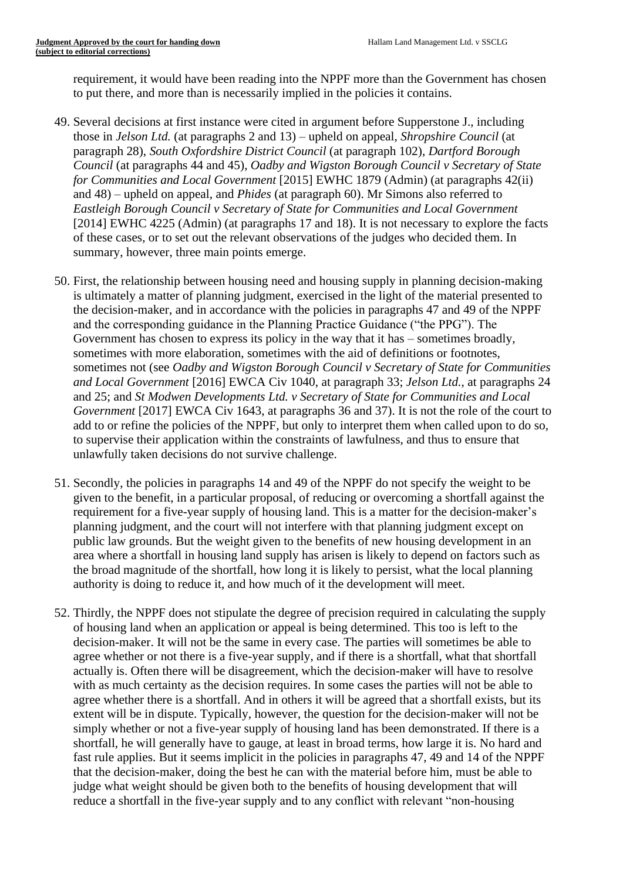requirement, it would have been reading into the NPPF more than the Government has chosen to put there, and more than is necessarily implied in the policies it contains.

- 49. Several decisions at first instance were cited in argument before Supperstone J., including those in *Jelson Ltd.* (at paragraphs 2 and 13) – upheld on appeal, *Shropshire Council* (at paragraph 28), *South Oxfordshire District Council* (at paragraph 102), *Dartford Borough Council* (at paragraphs 44 and 45), *Oadby and Wigston Borough Council v Secretary of State for Communities and Local Government* [2015] EWHC 1879 (Admin) (at paragraphs 42(ii) and 48) – upheld on appeal, and *Phides* (at paragraph 60). Mr Simons also referred to *Eastleigh Borough Council v Secretary of State for Communities and Local Government*  [2014] EWHC 4225 (Admin) (at paragraphs 17 and 18). It is not necessary to explore the facts of these cases, or to set out the relevant observations of the judges who decided them. In summary, however, three main points emerge.
- 50. First, the relationship between housing need and housing supply in planning decision-making is ultimately a matter of planning judgment, exercised in the light of the material presented to the decision-maker, and in accordance with the policies in paragraphs 47 and 49 of the NPPF and the corresponding guidance in the Planning Practice Guidance ("the PPG"). The Government has chosen to express its policy in the way that it has – sometimes broadly, sometimes with more elaboration, sometimes with the aid of definitions or footnotes, sometimes not (see *Oadby and Wigston Borough Council v Secretary of State for Communities and Local Government* [2016] EWCA Civ 1040, at paragraph 33; *Jelson Ltd.*, at paragraphs 24 and 25; and *St Modwen Developments Ltd. v Secretary of State for Communities and Local Government* [2017] EWCA Civ 1643, at paragraphs 36 and 37). It is not the role of the court to add to or refine the policies of the NPPF, but only to interpret them when called upon to do so, to supervise their application within the constraints of lawfulness, and thus to ensure that unlawfully taken decisions do not survive challenge.
- 51. Secondly, the policies in paragraphs 14 and 49 of the NPPF do not specify the weight to be given to the benefit, in a particular proposal, of reducing or overcoming a shortfall against the requirement for a five-year supply of housing land. This is a matter for the decision-maker's planning judgment, and the court will not interfere with that planning judgment except on public law grounds. But the weight given to the benefits of new housing development in an area where a shortfall in housing land supply has arisen is likely to depend on factors such as the broad magnitude of the shortfall, how long it is likely to persist, what the local planning authority is doing to reduce it, and how much of it the development will meet.
- 52. Thirdly, the NPPF does not stipulate the degree of precision required in calculating the supply of housing land when an application or appeal is being determined. This too is left to the decision-maker. It will not be the same in every case. The parties will sometimes be able to agree whether or not there is a five-year supply, and if there is a shortfall, what that shortfall actually is. Often there will be disagreement, which the decision-maker will have to resolve with as much certainty as the decision requires. In some cases the parties will not be able to agree whether there is a shortfall. And in others it will be agreed that a shortfall exists, but its extent will be in dispute. Typically, however, the question for the decision-maker will not be simply whether or not a five-year supply of housing land has been demonstrated. If there is a shortfall, he will generally have to gauge, at least in broad terms, how large it is. No hard and fast rule applies. But it seems implicit in the policies in paragraphs 47, 49 and 14 of the NPPF that the decision-maker, doing the best he can with the material before him, must be able to judge what weight should be given both to the benefits of housing development that will reduce a shortfall in the five-year supply and to any conflict with relevant "non-housing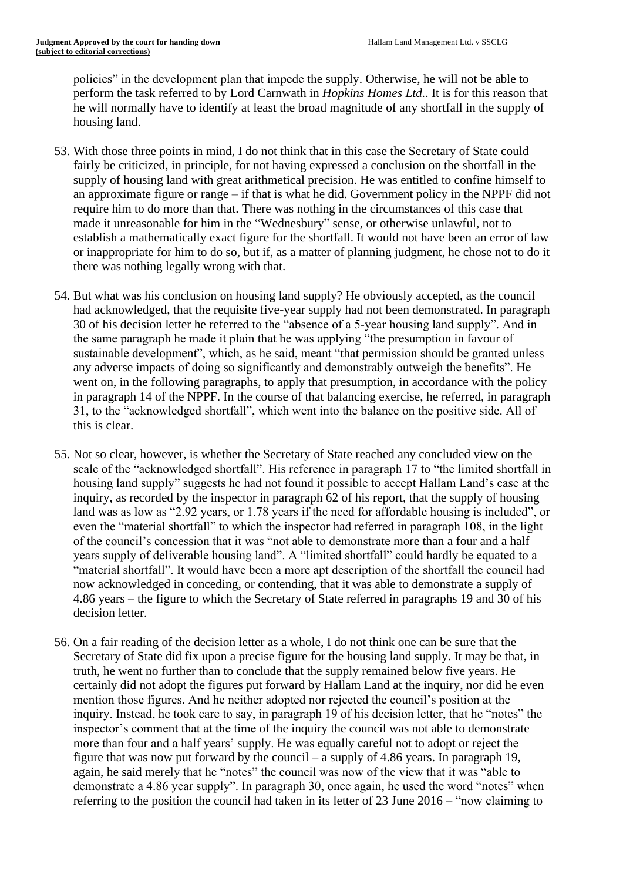policies" in the development plan that impede the supply. Otherwise, he will not be able to perform the task referred to by Lord Carnwath in *Hopkins Homes Ltd.*. It is for this reason that he will normally have to identify at least the broad magnitude of any shortfall in the supply of housing land.

- 53. With those three points in mind, I do not think that in this case the Secretary of State could fairly be criticized, in principle, for not having expressed a conclusion on the shortfall in the supply of housing land with great arithmetical precision. He was entitled to confine himself to an approximate figure or range – if that is what he did. Government policy in the NPPF did not require him to do more than that. There was nothing in the circumstances of this case that made it unreasonable for him in the "Wednesbury" sense, or otherwise unlawful, not to establish a mathematically exact figure for the shortfall. It would not have been an error of law or inappropriate for him to do so, but if, as a matter of planning judgment, he chose not to do it there was nothing legally wrong with that.
- 54. But what was his conclusion on housing land supply? He obviously accepted, as the council had acknowledged, that the requisite five-year supply had not been demonstrated. In paragraph 30 of his decision letter he referred to the "absence of a 5-year housing land supply". And in the same paragraph he made it plain that he was applying "the presumption in favour of sustainable development", which, as he said, meant "that permission should be granted unless any adverse impacts of doing so significantly and demonstrably outweigh the benefits". He went on, in the following paragraphs, to apply that presumption, in accordance with the policy in paragraph 14 of the NPPF. In the course of that balancing exercise, he referred, in paragraph 31, to the "acknowledged shortfall", which went into the balance on the positive side. All of this is clear.
- 55. Not so clear, however, is whether the Secretary of State reached any concluded view on the scale of the "acknowledged shortfall". His reference in paragraph 17 to "the limited shortfall in housing land supply" suggests he had not found it possible to accept Hallam Land's case at the inquiry, as recorded by the inspector in paragraph 62 of his report, that the supply of housing land was as low as "2.92 years, or 1.78 years if the need for affordable housing is included", or even the "material shortfall" to which the inspector had referred in paragraph 108, in the light of the council's concession that it was "not able to demonstrate more than a four and a half years supply of deliverable housing land". A "limited shortfall" could hardly be equated to a "material shortfall". It would have been a more apt description of the shortfall the council had now acknowledged in conceding, or contending, that it was able to demonstrate a supply of 4.86 years – the figure to which the Secretary of State referred in paragraphs 19 and 30 of his decision letter.
- 56. On a fair reading of the decision letter as a whole, I do not think one can be sure that the Secretary of State did fix upon a precise figure for the housing land supply. It may be that, in truth, he went no further than to conclude that the supply remained below five years. He certainly did not adopt the figures put forward by Hallam Land at the inquiry, nor did he even mention those figures. And he neither adopted nor rejected the council's position at the inquiry. Instead, he took care to say, in paragraph 19 of his decision letter, that he "notes" the inspector's comment that at the time of the inquiry the council was not able to demonstrate more than four and a half years' supply. He was equally careful not to adopt or reject the figure that was now put forward by the council – a supply of 4.86 years. In paragraph 19, again, he said merely that he "notes" the council was now of the view that it was "able to demonstrate a 4.86 year supply". In paragraph 30, once again, he used the word "notes" when referring to the position the council had taken in its letter of 23 June 2016 – "now claiming to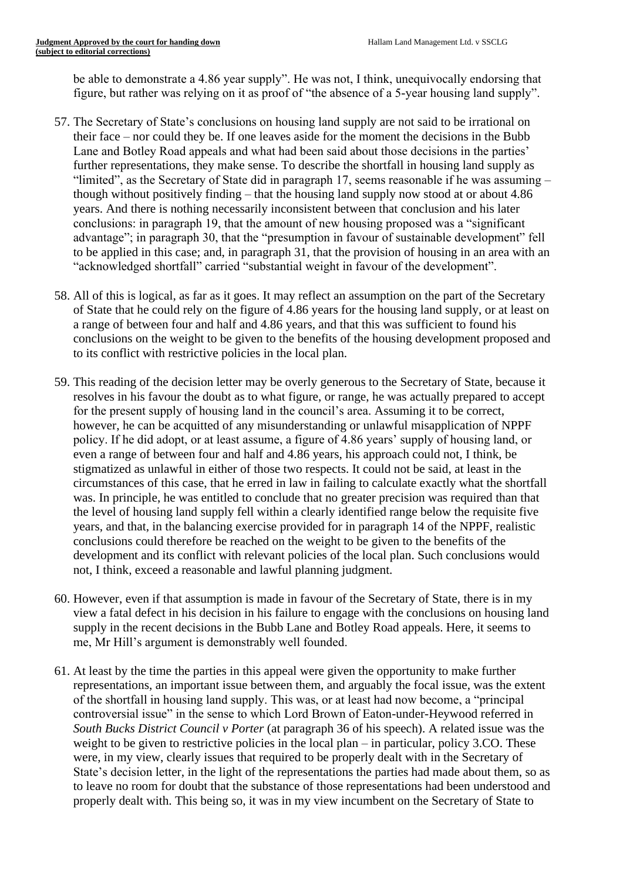be able to demonstrate a 4.86 year supply". He was not, I think, unequivocally endorsing that figure, but rather was relying on it as proof of "the absence of a 5-year housing land supply".

- 57. The Secretary of State's conclusions on housing land supply are not said to be irrational on their face – nor could they be. If one leaves aside for the moment the decisions in the Bubb Lane and Botley Road appeals and what had been said about those decisions in the parties' further representations, they make sense. To describe the shortfall in housing land supply as "limited", as the Secretary of State did in paragraph 17, seems reasonable if he was assuming – though without positively finding – that the housing land supply now stood at or about 4.86 years. And there is nothing necessarily inconsistent between that conclusion and his later conclusions: in paragraph 19, that the amount of new housing proposed was a "significant advantage"; in paragraph 30, that the "presumption in favour of sustainable development" fell to be applied in this case; and, in paragraph 31, that the provision of housing in an area with an "acknowledged shortfall" carried "substantial weight in favour of the development".
- 58. All of this is logical, as far as it goes. It may reflect an assumption on the part of the Secretary of State that he could rely on the figure of 4.86 years for the housing land supply, or at least on a range of between four and half and 4.86 years, and that this was sufficient to found his conclusions on the weight to be given to the benefits of the housing development proposed and to its conflict with restrictive policies in the local plan.
- 59. This reading of the decision letter may be overly generous to the Secretary of State, because it resolves in his favour the doubt as to what figure, or range, he was actually prepared to accept for the present supply of housing land in the council's area. Assuming it to be correct, however, he can be acquitted of any misunderstanding or unlawful misapplication of NPPF policy. If he did adopt, or at least assume, a figure of 4.86 years' supply of housing land, or even a range of between four and half and 4.86 years, his approach could not, I think, be stigmatized as unlawful in either of those two respects. It could not be said, at least in the circumstances of this case, that he erred in law in failing to calculate exactly what the shortfall was. In principle, he was entitled to conclude that no greater precision was required than that the level of housing land supply fell within a clearly identified range below the requisite five years, and that, in the balancing exercise provided for in paragraph 14 of the NPPF, realistic conclusions could therefore be reached on the weight to be given to the benefits of the development and its conflict with relevant policies of the local plan. Such conclusions would not, I think, exceed a reasonable and lawful planning judgment.
- 60. However, even if that assumption is made in favour of the Secretary of State, there is in my view a fatal defect in his decision in his failure to engage with the conclusions on housing land supply in the recent decisions in the Bubb Lane and Botley Road appeals. Here, it seems to me, Mr Hill's argument is demonstrably well founded.
- 61. At least by the time the parties in this appeal were given the opportunity to make further representations, an important issue between them, and arguably the focal issue, was the extent of the shortfall in housing land supply. This was, or at least had now become, a "principal controversial issue" in the sense to which Lord Brown of Eaton-under-Heywood referred in *South Bucks District Council v Porter* (at paragraph 36 of his speech). A related issue was the weight to be given to restrictive policies in the local plan – in particular, policy 3.CO. These were, in my view, clearly issues that required to be properly dealt with in the Secretary of State's decision letter, in the light of the representations the parties had made about them, so as to leave no room for doubt that the substance of those representations had been understood and properly dealt with. This being so, it was in my view incumbent on the Secretary of State to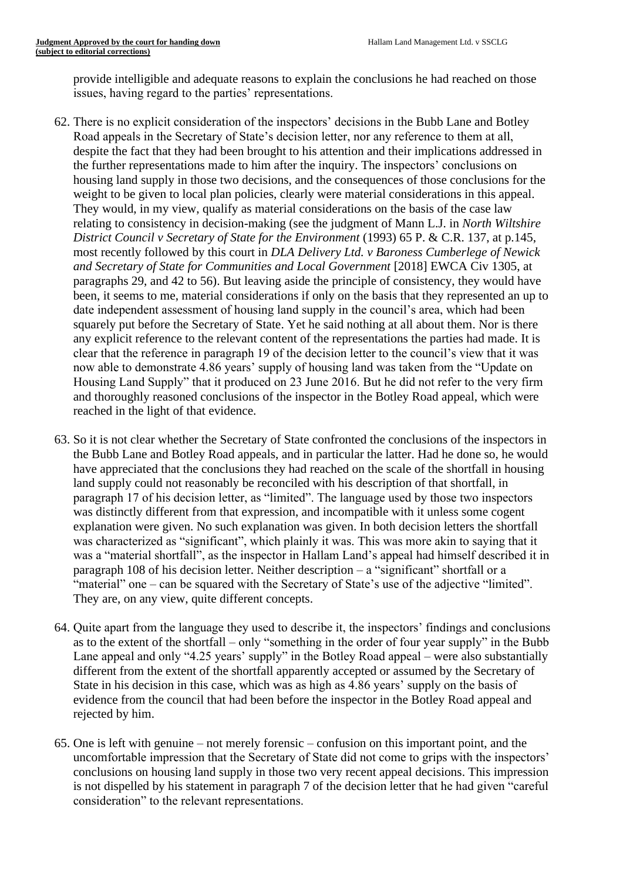provide intelligible and adequate reasons to explain the conclusions he had reached on those issues, having regard to the parties' representations.

- 62. There is no explicit consideration of the inspectors' decisions in the Bubb Lane and Botley Road appeals in the Secretary of State's decision letter, nor any reference to them at all, despite the fact that they had been brought to his attention and their implications addressed in the further representations made to him after the inquiry. The inspectors' conclusions on housing land supply in those two decisions, and the consequences of those conclusions for the weight to be given to local plan policies, clearly were material considerations in this appeal. They would, in my view, qualify as material considerations on the basis of the case law relating to consistency in decision-making (see the judgment of Mann L.J. in *North Wiltshire District Council v Secretary of State for the Environment* (1993) 65 P. & C.R. 137, at p.145, most recently followed by this court in *DLA Delivery Ltd. v Baroness Cumberlege of Newick and Secretary of State for Communities and Local Government* [2018] EWCA Civ 1305, at paragraphs 29, and 42 to 56). But leaving aside the principle of consistency, they would have been, it seems to me, material considerations if only on the basis that they represented an up to date independent assessment of housing land supply in the council's area, which had been squarely put before the Secretary of State. Yet he said nothing at all about them. Nor is there any explicit reference to the relevant content of the representations the parties had made. It is clear that the reference in paragraph 19 of the decision letter to the council's view that it was now able to demonstrate 4.86 years' supply of housing land was taken from the "Update on Housing Land Supply" that it produced on 23 June 2016. But he did not refer to the very firm and thoroughly reasoned conclusions of the inspector in the Botley Road appeal, which were reached in the light of that evidence.
- 63. So it is not clear whether the Secretary of State confronted the conclusions of the inspectors in the Bubb Lane and Botley Road appeals, and in particular the latter. Had he done so, he would have appreciated that the conclusions they had reached on the scale of the shortfall in housing land supply could not reasonably be reconciled with his description of that shortfall, in paragraph 17 of his decision letter, as "limited". The language used by those two inspectors was distinctly different from that expression, and incompatible with it unless some cogent explanation were given. No such explanation was given. In both decision letters the shortfall was characterized as "significant", which plainly it was. This was more akin to saying that it was a "material shortfall", as the inspector in Hallam Land's appeal had himself described it in paragraph 108 of his decision letter. Neither description – a "significant" shortfall or a "material" one – can be squared with the Secretary of State's use of the adjective "limited". They are, on any view, quite different concepts.
- 64. Quite apart from the language they used to describe it, the inspectors' findings and conclusions as to the extent of the shortfall – only "something in the order of four year supply" in the Bubb Lane appeal and only "4.25 years' supply" in the Botley Road appeal – were also substantially different from the extent of the shortfall apparently accepted or assumed by the Secretary of State in his decision in this case, which was as high as 4.86 years' supply on the basis of evidence from the council that had been before the inspector in the Botley Road appeal and rejected by him.
- 65. One is left with genuine not merely forensic confusion on this important point, and the uncomfortable impression that the Secretary of State did not come to grips with the inspectors' conclusions on housing land supply in those two very recent appeal decisions. This impression is not dispelled by his statement in paragraph 7 of the decision letter that he had given "careful consideration" to the relevant representations.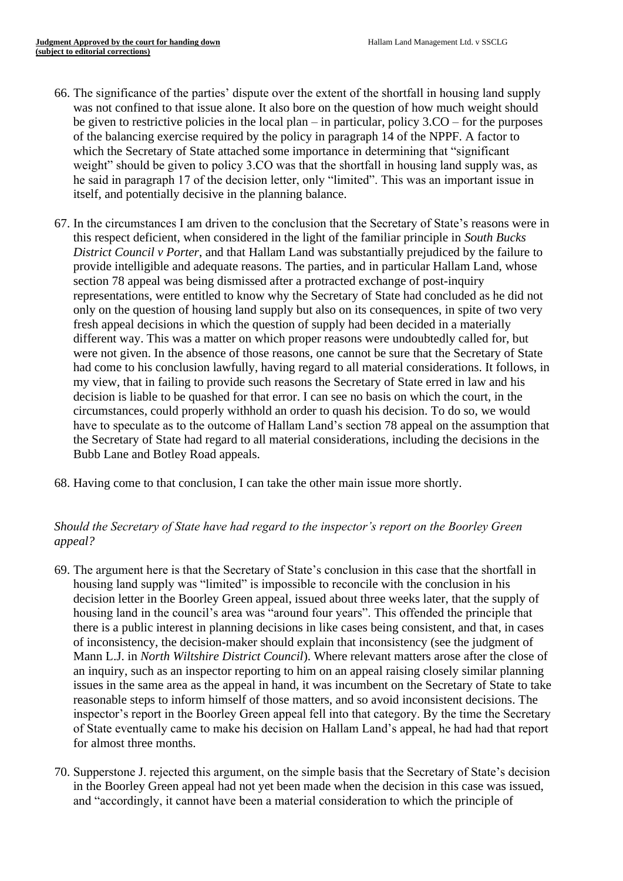- 66. The significance of the parties' dispute over the extent of the shortfall in housing land supply was not confined to that issue alone. It also bore on the question of how much weight should be given to restrictive policies in the local plan – in particular, policy  $3.CO$  – for the purposes of the balancing exercise required by the policy in paragraph 14 of the NPPF. A factor to which the Secretary of State attached some importance in determining that "significant weight" should be given to policy 3.CO was that the shortfall in housing land supply was, as he said in paragraph 17 of the decision letter, only "limited". This was an important issue in itself, and potentially decisive in the planning balance.
- 67. In the circumstances I am driven to the conclusion that the Secretary of State's reasons were in this respect deficient, when considered in the light of the familiar principle in *South Bucks District Council v Porter*, and that Hallam Land was substantially prejudiced by the failure to provide intelligible and adequate reasons. The parties, and in particular Hallam Land, whose section 78 appeal was being dismissed after a protracted exchange of post-inquiry representations, were entitled to know why the Secretary of State had concluded as he did not only on the question of housing land supply but also on its consequences, in spite of two very fresh appeal decisions in which the question of supply had been decided in a materially different way. This was a matter on which proper reasons were undoubtedly called for, but were not given. In the absence of those reasons, one cannot be sure that the Secretary of State had come to his conclusion lawfully, having regard to all material considerations. It follows, in my view, that in failing to provide such reasons the Secretary of State erred in law and his decision is liable to be quashed for that error. I can see no basis on which the court, in the circumstances, could properly withhold an order to quash his decision. To do so, we would have to speculate as to the outcome of Hallam Land's section 78 appeal on the assumption that the Secretary of State had regard to all material considerations, including the decisions in the Bubb Lane and Botley Road appeals.
- 68. Having come to that conclusion, I can take the other main issue more shortly.

# *Should the Secretary of State have had regard to the inspector's report on the Boorley Green appeal?*

- 69. The argument here is that the Secretary of State's conclusion in this case that the shortfall in housing land supply was "limited" is impossible to reconcile with the conclusion in his decision letter in the Boorley Green appeal, issued about three weeks later, that the supply of housing land in the council's area was "around four years". This offended the principle that there is a public interest in planning decisions in like cases being consistent, and that, in cases of inconsistency, the decision-maker should explain that inconsistency (see the judgment of Mann L.J. in *North Wiltshire District Council*). Where relevant matters arose after the close of an inquiry, such as an inspector reporting to him on an appeal raising closely similar planning issues in the same area as the appeal in hand, it was incumbent on the Secretary of State to take reasonable steps to inform himself of those matters, and so avoid inconsistent decisions. The inspector's report in the Boorley Green appeal fell into that category. By the time the Secretary of State eventually came to make his decision on Hallam Land's appeal, he had had that report for almost three months.
- 70. Supperstone J. rejected this argument, on the simple basis that the Secretary of State's decision in the Boorley Green appeal had not yet been made when the decision in this case was issued, and "accordingly, it cannot have been a material consideration to which the principle of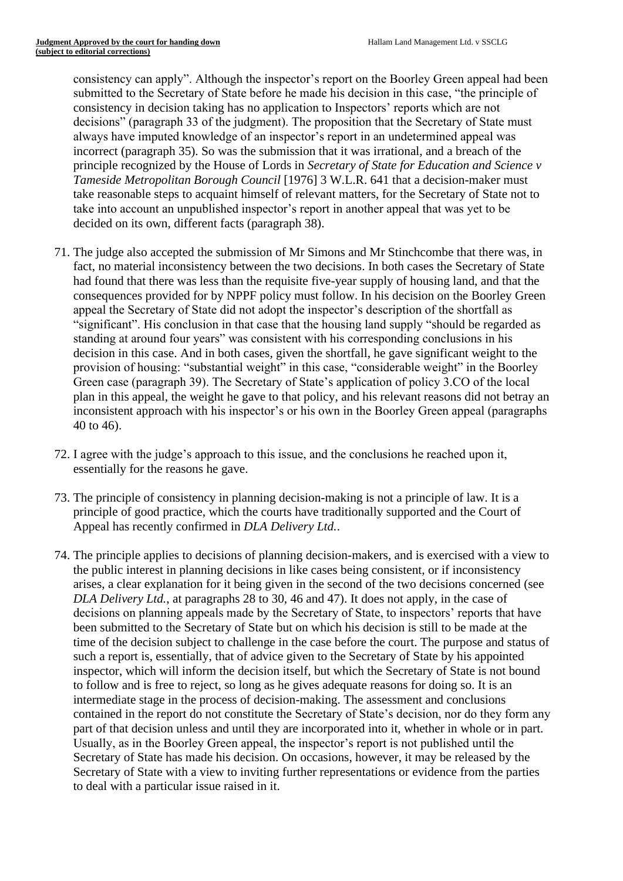consistency can apply". Although the inspector's report on the Boorley Green appeal had been submitted to the Secretary of State before he made his decision in this case, "the principle of consistency in decision taking has no application to Inspectors' reports which are not decisions" (paragraph 33 of the judgment). The proposition that the Secretary of State must always have imputed knowledge of an inspector's report in an undetermined appeal was incorrect (paragraph 35). So was the submission that it was irrational, and a breach of the principle recognized by the House of Lords in *Secretary of State for Education and Science v Tameside Metropolitan Borough Council* [1976] 3 W.L.R. 641 that a decision-maker must take reasonable steps to acquaint himself of relevant matters, for the Secretary of State not to take into account an unpublished inspector's report in another appeal that was yet to be decided on its own, different facts (paragraph 38).

- 71. The judge also accepted the submission of Mr Simons and Mr Stinchcombe that there was, in fact, no material inconsistency between the two decisions. In both cases the Secretary of State had found that there was less than the requisite five-year supply of housing land, and that the consequences provided for by NPPF policy must follow. In his decision on the Boorley Green appeal the Secretary of State did not adopt the inspector's description of the shortfall as "significant". His conclusion in that case that the housing land supply "should be regarded as standing at around four years" was consistent with his corresponding conclusions in his decision in this case. And in both cases, given the shortfall, he gave significant weight to the provision of housing: "substantial weight" in this case, "considerable weight" in the Boorley Green case (paragraph 39). The Secretary of State's application of policy 3.CO of the local plan in this appeal, the weight he gave to that policy, and his relevant reasons did not betray an inconsistent approach with his inspector's or his own in the Boorley Green appeal (paragraphs 40 to 46).
- 72. I agree with the judge's approach to this issue, and the conclusions he reached upon it, essentially for the reasons he gave.
- 73. The principle of consistency in planning decision-making is not a principle of law. It is a principle of good practice, which the courts have traditionally supported and the Court of Appeal has recently confirmed in *DLA Delivery Ltd.*.
- 74. The principle applies to decisions of planning decision-makers, and is exercised with a view to the public interest in planning decisions in like cases being consistent, or if inconsistency arises, a clear explanation for it being given in the second of the two decisions concerned (see *DLA Delivery Ltd.*, at paragraphs 28 to 30, 46 and 47). It does not apply, in the case of decisions on planning appeals made by the Secretary of State, to inspectors' reports that have been submitted to the Secretary of State but on which his decision is still to be made at the time of the decision subject to challenge in the case before the court. The purpose and status of such a report is, essentially, that of advice given to the Secretary of State by his appointed inspector, which will inform the decision itself, but which the Secretary of State is not bound to follow and is free to reject, so long as he gives adequate reasons for doing so. It is an intermediate stage in the process of decision-making. The assessment and conclusions contained in the report do not constitute the Secretary of State's decision, nor do they form any part of that decision unless and until they are incorporated into it, whether in whole or in part. Usually, as in the Boorley Green appeal, the inspector's report is not published until the Secretary of State has made his decision. On occasions, however, it may be released by the Secretary of State with a view to inviting further representations or evidence from the parties to deal with a particular issue raised in it.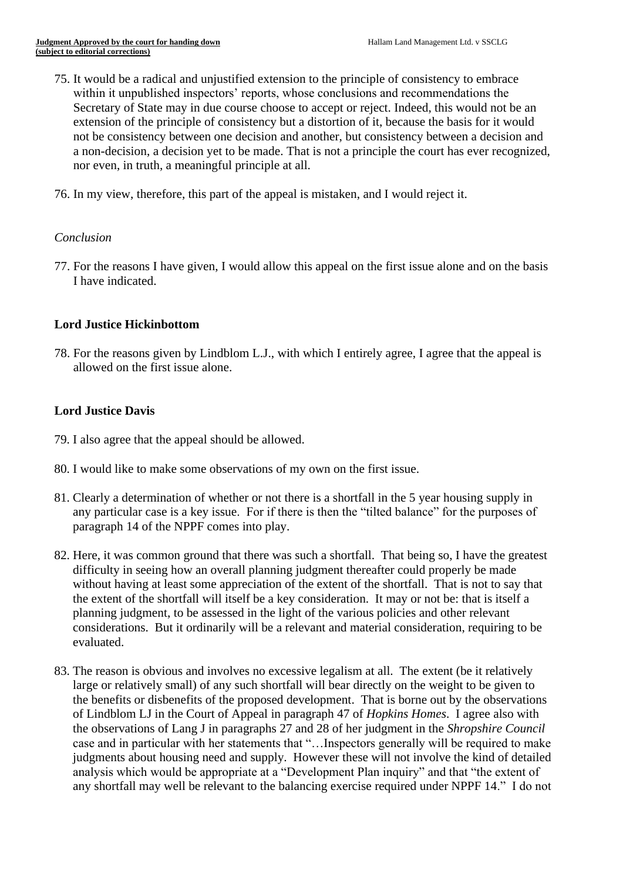- 75. It would be a radical and unjustified extension to the principle of consistency to embrace within it unpublished inspectors' reports, whose conclusions and recommendations the Secretary of State may in due course choose to accept or reject. Indeed, this would not be an extension of the principle of consistency but a distortion of it, because the basis for it would not be consistency between one decision and another, but consistency between a decision and a non-decision, a decision yet to be made. That is not a principle the court has ever recognized, nor even, in truth, a meaningful principle at all.
- 76. In my view, therefore, this part of the appeal is mistaken, and I would reject it.

## *Conclusion*

77. For the reasons I have given, I would allow this appeal on the first issue alone and on the basis I have indicated.

## **Lord Justice Hickinbottom**

78. For the reasons given by Lindblom L.J., with which I entirely agree, I agree that the appeal is allowed on the first issue alone.

## **Lord Justice Davis**

- 79. I also agree that the appeal should be allowed.
- 80. I would like to make some observations of my own on the first issue.
- 81. Clearly a determination of whether or not there is a shortfall in the 5 year housing supply in any particular case is a key issue. For if there is then the "tilted balance" for the purposes of paragraph 14 of the NPPF comes into play.
- 82. Here, it was common ground that there was such a shortfall. That being so, I have the greatest difficulty in seeing how an overall planning judgment thereafter could properly be made without having at least some appreciation of the extent of the shortfall. That is not to say that the extent of the shortfall will itself be a key consideration. It may or not be: that is itself a planning judgment, to be assessed in the light of the various policies and other relevant considerations. But it ordinarily will be a relevant and material consideration, requiring to be evaluated.
- 83. The reason is obvious and involves no excessive legalism at all. The extent (be it relatively large or relatively small) of any such shortfall will bear directly on the weight to be given to the benefits or disbenefits of the proposed development. That is borne out by the observations of Lindblom LJ in the Court of Appeal in paragraph 47 of *Hopkins Homes*. I agree also with the observations of Lang J in paragraphs 27 and 28 of her judgment in the *Shropshire Council* case and in particular with her statements that "…Inspectors generally will be required to make judgments about housing need and supply. However these will not involve the kind of detailed analysis which would be appropriate at a "Development Plan inquiry" and that "the extent of any shortfall may well be relevant to the balancing exercise required under NPPF 14." I do not